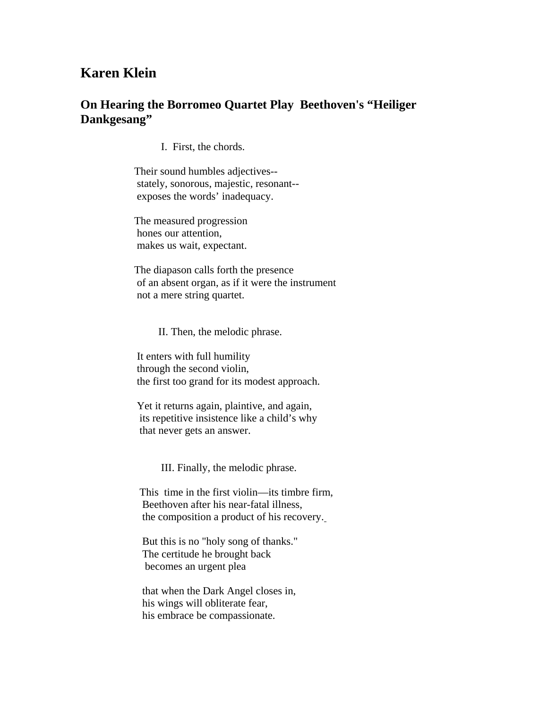## **Karen Klein**

## **On Hearing the Borromeo Quartet Play Beethoven's "Heiliger Dankgesang"**

I. First, the chords.

 Their sound humbles adjectives- stately, sonorous, majestic, resonant- exposes the words' inadequacy.

 The measured progression hones our attention, makes us wait, expectant.

 The diapason calls forth the presence of an absent organ, as if it were the instrument not a mere string quartet.

II. Then, the melodic phrase.

 It enters with full humility through the second violin, the first too grand for its modest approach.

 Yet it returns again, plaintive, and again, its repetitive insistence like a child's why that never gets an answer.

III. Finally, the melodic phrase.

 This time in the first violin—its timbre firm, Beethoven after his near-fatal illness, the composition a product of his recovery.

 But this is no "holy song of thanks." The certitude he brought back becomes an urgent plea

 that when the Dark Angel closes in, his wings will obliterate fear, his embrace be compassionate.